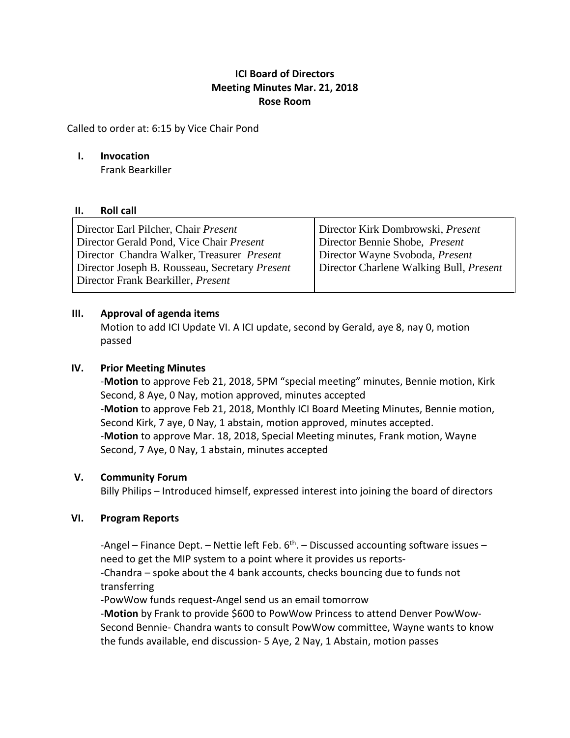# **ICI Board of Directors Meeting Minutes Mar. 21, 2018 Rose Room**

Called to order at: 6:15 by Vice Chair Pond

#### **I. Invocation**

Frank Bearkiller

#### **II. Roll call**

## **III. Approval of agenda items**

Motion to add ICI Update VI. A ICI update, second by Gerald, aye 8, nay 0, motion passed

## **IV. Prior Meeting Minutes**

-**Motion** to approve Feb 21, 2018, 5PM "special meeting" minutes, Bennie motion, Kirk Second, 8 Aye, 0 Nay, motion approved, minutes accepted -**Motion** to approve Feb 21, 2018, Monthly ICI Board Meeting Minutes, Bennie motion, Second Kirk, 7 aye, 0 Nay, 1 abstain, motion approved, minutes accepted. -**Motion** to approve Mar. 18, 2018, Special Meeting minutes, Frank motion, Wayne Second, 7 Aye, 0 Nay, 1 abstain, minutes accepted

## **V. Community Forum**

Billy Philips – Introduced himself, expressed interest into joining the board of directors

## **VI. Program Reports**

-Angel – Finance Dept. – Nettie left Feb.  $6<sup>th</sup>$ . – Discussed accounting software issues – need to get the MIP system to a point where it provides us reports-

-Chandra – spoke about the 4 bank accounts, checks bouncing due to funds not transferring

-PowWow funds request-Angel send us an email tomorrow

-**Motion** by Frank to provide \$600 to PowWow Princess to attend Denver PowWow-Second Bennie- Chandra wants to consult PowWow committee, Wayne wants to know the funds available, end discussion- 5 Aye, 2 Nay, 1 Abstain, motion passes